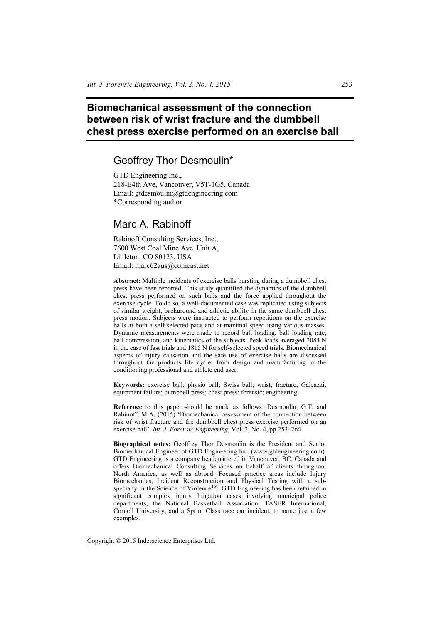# **Biomechanical assessment of the connection between risk of wrist fracture and the dumbbell chest press exercise performed on an exercise ball**

# Geoffrey Thor Desmoulin\*

GTD Engineering Inc., 218-E4th Ave, Vancouver, V5T-1G5, Canada Email: gtdesmoulin@gtdengineering.com \*Corresponding author

# Marc A. Rabinoff

Rabinoff Consulting Services, Inc., 7600 West Coal Mine Ave. Unit A, Littleton, CO 80123, USA Email: marc62aus@comcast.net

**Abstract:** Multiple incidents of exercise balls bursting during a dumbbell chest press have been reported. This study quantified the dynamics of the dumbbell chest press performed on such balls and the force applied throughout the exercise cycle. To do so, a well-documented case was replicated using subjects of similar weight, background and athletic ability in the same dumbbell chest press motion. Subjects were instructed to perform repetitions on the exercise balls at both a self-selected pace and at maximal speed using various masses. Dynamic measurements were made to record ball loading, ball loading rate, ball compression, and kinematics of the subjects. Peak loads averaged 2084 N in the case of fast trials and 1815 N for self-selected speed trials. Biomechanical aspects of injury causation and the safe use of exercise balls are discussed throughout the products life cycle; from design and manufacturing to the conditioning professional and athlete end user.

**Keywords:** exercise ball; physio ball; Swiss ball; wrist; fracture; Galeazzi; equipment failure; dumbbell press; chest press; forensic; engineering.

**Reference** to this paper should be made as follows: Desmoulin, G.T. and Rabinoff, M.A. (2015) 'Biomechanical assessment of the connection between risk of wrist fracture and the dumbbell chest press exercise performed on an exercise ball', *Int. J. Forensic Engineering*, Vol. 2, No. 4, pp.253–264.

**Biographical notes:** Geoffrey Thor Desmoulin is the President and Senior Biomechanical Engineer of GTD Engineering Inc. (www.gtdengineering.com). GTD Engineering is a company headquartered in Vancouver, BC, Canada and offers Biomechanical Consulting Services on behalf of clients throughout North America, as well as abroad. Focused practice areas include Injury Biomechanics, Incident Reconstruction and Physical Testing with a subspecialty in the Science of Violence™. GTD Engineering has been retained in significant complex injury litigation cases involving municipal police departments, the National Basketball Association, TASER International, Cornell University, and a Sprint Class race car incident, to name just a few examples.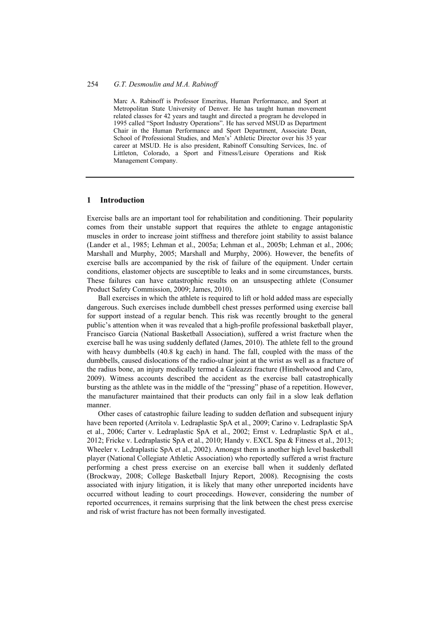Marc A. Rabinoff is Professor Emeritus, Human Performance, and Sport at Metropolitan State University of Denver. He has taught human movement related classes for 42 years and taught and directed a program he developed in 1995 called "Sport Industry Operations". He has served MSUD as Department Chair in the Human Performance and Sport Department, Associate Dean, School of Professional Studies, and Men's<sup>5</sup> Athletic Director over his 35 year career at MSUD. He is also president, Rabinoff Consulting Services, Inc. of Littleton, Colorado, a Sport and Fitness/Leisure Operations and Risk Management Company.

### **1 Introduction**

Exercise balls are an important tool for rehabilitation and conditioning. Their popularity comes from their unstable support that requires the athlete to engage antagonistic muscles in order to increase joint stiffness and therefore joint stability to assist balance (Lander et al., 1985; Lehman et al., 2005a; Lehman et al., 2005b; Lehman et al., 2006; Marshall and Murphy, 2005; Marshall and Murphy, 2006). However, the benefits of exercise balls are accompanied by the risk of failure of the equipment. Under certain conditions, elastomer objects are susceptible to leaks and in some circumstances, bursts. These failures can have catastrophic results on an unsuspecting athlete (Consumer Product Safety Commission, 2009; James, 2010).

Ball exercises in which the athlete is required to lift or hold added mass are especially dangerous. Such exercises include dumbbell chest presses performed using exercise ball for support instead of a regular bench. This risk was recently brought to the general public's attention when it was revealed that a high-profile professional basketball player, Francisco Garcia (National Basketball Association), suffered a wrist fracture when the exercise ball he was using suddenly deflated (James, 2010). The athlete fell to the ground with heavy dumbbells (40.8 kg each) in hand. The fall, coupled with the mass of the dumbbells, caused dislocations of the radio-ulnar joint at the wrist as well as a fracture of the radius bone, an injury medically termed a Galeazzi fracture (Hinshelwood and Caro, 2009). Witness accounts described the accident as the exercise ball catastrophically bursting as the athlete was in the middle of the "pressing" phase of a repetition. However, the manufacturer maintained that their products can only fail in a slow leak deflation manner.

Other cases of catastrophic failure leading to sudden deflation and subsequent injury have been reported (Arritola v. Ledraplastic SpA et al., 2009; Carino v. Ledraplastic SpA et al., 2006; Carter v. Ledraplastic SpA et al., 2002; Ernst v. Ledraplastic SpA et al., 2012; Fricke v. Ledraplastic SpA et al., 2010; Handy v. EXCL Spa & Fitness et al., 2013; Wheeler v. Ledraplastic SpA et al., 2002). Amongst them is another high level basketball player (National Collegiate Athletic Association) who reportedly suffered a wrist fracture performing a chest press exercise on an exercise ball when it suddenly deflated (Brockway, 2008; College Basketball Injury Report, 2008). Recognising the costs associated with injury litigation, it is likely that many other unreported incidents have occurred without leading to court proceedings. However, considering the number of reported occurrences, it remains surprising that the link between the chest press exercise and risk of wrist fracture has not been formally investigated.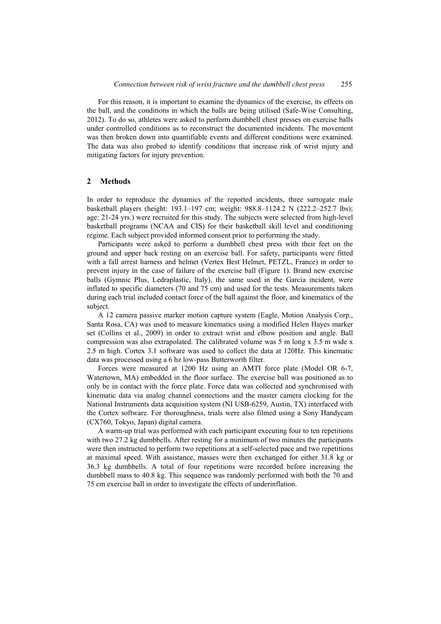For this reason, it is important to examine the dynamics of the exercise, its effects on the ball, and the conditions in which the balls are being utilised (Safe-Wise Consulting, 2012). To do so, athletes were asked to perform dumbbell chest presses on exercise balls under controlled conditions as to reconstruct the documented incidents. The movement was then broken down into quantifiable events and different conditions were examined. The data was also probed to identify conditions that increase risk of wrist injury and mitigating factors for injury prevention.

## **2 Methods**

In order to reproduce the dynamics of the reported incidents, three surrogate male basketball players (height: 193.1–197 cm; weight: 988.8–1124.2 N (222.2–252.7 lbs); age: 21-24 yrs.) were recruited for this study. The subjects were selected from high-level basketball programs (NCAA and CIS) for their basketball skill level and conditioning regime. Each subject provided informed consent prior to performing the study.

Participants were asked to perform a dumbbell chest press with their feet on the ground and upper back resting on an exercise ball. For safety, participants were fitted with a fall arrest harness and helmet (Vertex Best Helmet, PETZL, France) in order to prevent injury in the case of failure of the exercise ball (Figure 1). Brand new exercise balls (Gymnic Plus, Ledraplastic, Italy), the same used in the Garcia incident, were inflated to specific diameters (70 and 75 cm) and used for the tests. Measurements taken during each trial included contact force of the ball against the floor, and kinematics of the subject.

A 12 camera passive marker motion capture system (Eagle, Motion Analysis Corp., Santa Rosa, CA) was used to measure kinematics using a modified Helen Hayes marker set (Collins et al., 2009) in order to extract wrist and elbow position and angle. Ball compression was also extrapolated. The calibrated volume was 5 m long x 3.5 m wide x 2.5 m high. Cortex 3.1 software was used to collect the data at 120Hz. This kinematic data was processed using a 6 hz low-pass Butterworth filter.

Forces were measured at 1200 Hz using an AMTI force plate (Model OR 6-7, Watertown, MA) embedded in the floor surface. The exercise ball was positioned as to only be in contact with the force plate. Force data was collected and synchronised with kinematic data via analog channel connections and the master camera clocking for the National Instruments data acquisition system (NI USB-6259, Austin, TX) interfaced with the Cortex software. For thoroughness, trials were also filmed using a Sony Handycam (CX760, Tokyo, Japan) digital camera.

A warm-up trial was performed with each participant executing four to ten repetitions with two 27.2 kg dumbbells. After resting for a minimum of two minutes the participants were then instructed to perform two repetitions at a self-selected pace and two repetitions at maximal speed. With assistance, masses were then exchanged for either 31.8 kg or 36.3 kg dumbbells. A total of four repetitions were recorded before increasing the dumbbell mass to 40.8 kg. This sequence was randomly performed with both the 70 and 75 cm exercise ball in order to investigate the effects of underinflation.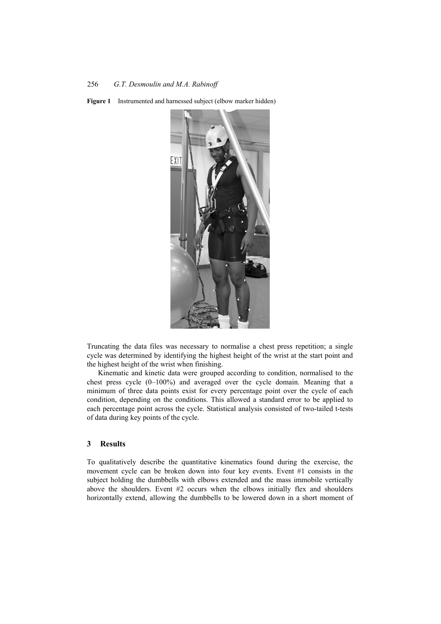**Figure 1** Instrumented and harnessed subject (elbow marker hidden)



Truncating the data files was necessary to normalise a chest press repetition; a single cycle was determined by identifying the highest height of the wrist at the start point and the highest height of the wrist when finishing.

Kinematic and kinetic data were grouped according to condition, normalised to the chest press cycle  $(0-100%)$  and averaged over the cycle domain. Meaning that a minimum of three data points exist for every percentage point over the cycle of each condition, depending on the conditions. This allowed a standard error to be applied to each percentage point across the cycle. Statistical analysis consisted of two-tailed t-tests of data during key points of the cycle.

#### **3 Results**

To qualitatively describe the quantitative kinematics found during the exercise, the movement cycle can be broken down into four key events. Event #1 consists in the subject holding the dumbbells with elbows extended and the mass immobile vertically above the shoulders. Event #2 occurs when the elbows initially flex and shoulders horizontally extend, allowing the dumbbells to be lowered down in a short moment of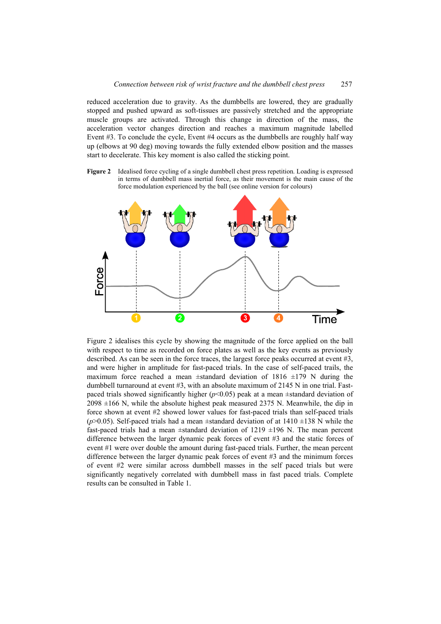reduced acceleration due to gravity. As the dumbbells are lowered, they are gradually stopped and pushed upward as soft-tissues are passively stretched and the appropriate muscle groups are activated. Through this change in direction of the mass, the acceleration vector changes direction and reaches a maximum magnitude labelled Event #3. To conclude the cycle, Event #4 occurs as the dumbbells are roughly half way up (elbows at 90 deg) moving towards the fully extended elbow position and the masses start to decelerate. This key moment is also called the sticking point.

**Figure 2** Idealised force cycling of a single dumbbell chest press repetition. Loading is expressed in terms of dumbbell mass inertial force, as their movement is the main cause of the force modulation experienced by the ball (see online version for colours)



Figure 2 idealises this cycle by showing the magnitude of the force applied on the ball with respect to time as recorded on force plates as well as the key events as previously described. As can be seen in the force traces, the largest force peaks occurred at event #3, and were higher in amplitude for fast-paced trials. In the case of self-paced trails, the maximum force reached a mean  $\pm$ standard deviation of 1816  $\pm$ 179 N during the dumbbell turnaround at event #3, with an absolute maximum of 2145 N in one trial. Fastpaced trials showed significantly higher  $(p<0.05)$  peak at a mean  $\pm$ standard deviation of  $2098 \pm 166$  N, while the absolute highest peak measured 2375 N. Meanwhile, the dip in force shown at event #2 showed lower values for fast-paced trials than self-paced trials ( $p$ >0.05). Self-paced trials had a mean  $\pm$ standard deviation of at 1410  $\pm$ 138 N while the fast-paced trials had a mean  $\pm$ standard deviation of 1219  $\pm$ 196 N. The mean percent difference between the larger dynamic peak forces of event #3 and the static forces of event #1 were over double the amount during fast-paced trials. Further, the mean percent difference between the larger dynamic peak forces of event #3 and the minimum forces of event #2 were similar across dumbbell masses in the self paced trials but were significantly negatively correlated with dumbbell mass in fast paced trials. Complete results can be consulted in Table 1.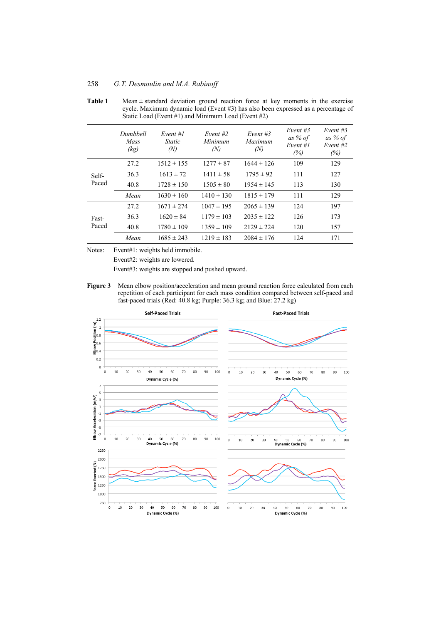|                | Dumbbell<br>Mass<br>(kg) | Event #1<br>Static<br>(N) | Event #2<br>Minimum<br>(N) | Event $#3$<br><i>Maximum</i><br>(N) | Event $#3$<br>as $%$ of<br>Event#1<br>(%) | Event $#3$<br>as $%$ of<br>Event $#2$<br>(%) |
|----------------|--------------------------|---------------------------|----------------------------|-------------------------------------|-------------------------------------------|----------------------------------------------|
|                | 27.2                     | $1512 \pm 155$            | $1277 \pm 87$              | $1644 \pm 126$                      | 109                                       | 129                                          |
| Self-          | 36.3                     | $1613 \pm 72$             | $1411 \pm 58$              | $1795 \pm 92$                       | 111                                       | 127                                          |
| Paced          | 40.8                     | $1728 \pm 150$            | $1505 \pm 80$              | $1954 \pm 145$                      | 113                                       | 130                                          |
|                | Mean                     | $1630 \pm 160$            | $1410 \pm 130$             | $1815 \pm 179$                      | 111                                       | 129                                          |
|                | 27.2                     | $1671 \pm 274$            | $1047 \pm 195$             | $2065 \pm 139$                      | 124                                       | 197                                          |
| Fast-<br>Paced | 36.3                     | $1620 \pm 84$             | $1179 \pm 103$             | $2035 \pm 122$                      | 126                                       | 173                                          |
|                | 40.8                     | $1780 \pm 109$            | $1359 \pm 109$             | $2129 \pm 224$                      | 120                                       | 157                                          |
|                | Mean                     | $1685 \pm 243$            | $1219 \pm 183$             | $2084 \pm 176$                      | 124                                       | 171                                          |

Table 1 Mean  $\pm$  standard deviation ground reaction force at key moments in the exercise cycle. Maximum dynamic load (Event #3) has also been expressed as a percentage of Static Load (Event #1) and Minimum Load (Event #2)

Notes: Event#1: weights held immobile.

Event#2: weights are lowered.

Event#3: weights are stopped and pushed upward.

**Figure 3** Mean elbow position/acceleration and mean ground reaction force calculated from each repetition of each participant for each mass condition compared between self-paced and fast-paced trials (Red: 40.8 kg; Purple: 36.3 kg; and Blue: 27.2 kg)

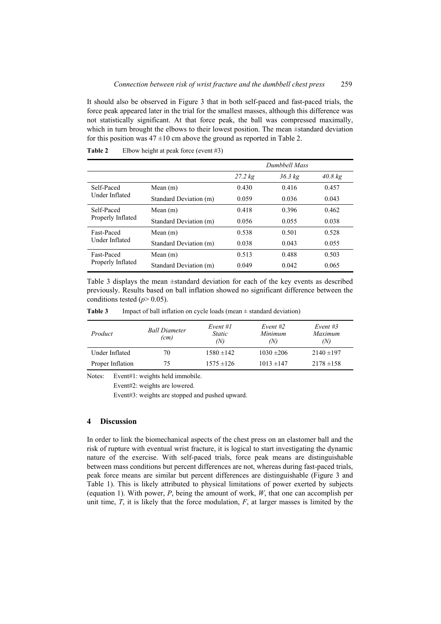It should also be observed in Figure 3 that in both self-paced and fast-paced trials, the force peak appeared later in the trial for the smallest masses, although this difference was not statistically significant. At that force peak, the ball was compressed maximally, which in turn brought the elbows to their lowest position. The mean  $\pm$ standard deviation for this position was  $47 \pm 10$  cm above the ground as reported in Table 2.

| <b>Table 2</b> | Elbow height at peak force (event $#3$ ) |  |
|----------------|------------------------------------------|--|
|----------------|------------------------------------------|--|

|                   |                        | Dumbbell Mass     |         |             |
|-------------------|------------------------|-------------------|---------|-------------|
|                   |                        | $27.2 \text{ kg}$ | 36.3 kg | $40.8$ $kg$ |
| Self-Paced        | Mean $(m)$             | 0.430             | 0.416   | 0.457       |
| Under Inflated    | Standard Deviation (m) | 0.059             | 0.036   | 0.043       |
| Self-Paced        | Mean $(m)$             | 0.418             | 0.396   | 0.462       |
| Properly Inflated | Standard Deviation (m) | 0.056             | 0.055   | 0.038       |
| <b>Fast-Paced</b> | Mean $(m)$             | 0.538             | 0.501   | 0.528       |
| Under Inflated    | Standard Deviation (m) | 0.038             | 0.043   | 0.055       |
| <b>Fast-Paced</b> | Mean $(m)$             | 0.513             | 0.488   | 0.503       |
| Properly Inflated | Standard Deviation (m) | 0.049             | 0.042   | 0.065       |

Table 3 displays the mean ±standard deviation for each of the key events as described previously. Results based on ball inflation showed no significant difference between the conditions tested ( $p$ > 0.05).

**Table 3** Impact of ball inflation on cycle loads (mean  $\pm$  standard deviation)

| Product          | <b>Ball Diameter</b><br>(cm) | Event #1<br><i>Static</i><br>(N) | Event #2<br>Minimum<br>(N) | Event $#3$<br>Maximum<br>(N) |
|------------------|------------------------------|----------------------------------|----------------------------|------------------------------|
| Under Inflated   | 70                           | $1580 \pm 142$                   | $1030 \pm 206$             | $2140 \pm 197$               |
| Proper Inflation | 75                           | $1575 \pm 126$                   | $1013 \pm 147$             | $2178 \pm 158$               |

Notes: Event#1: weights held immobile.

Event#2: weights are lowered.

Event#3: weights are stopped and pushed upward.

## **4 Discussion**

In order to link the biomechanical aspects of the chest press on an elastomer ball and the risk of rupture with eventual wrist fracture, it is logical to start investigating the dynamic nature of the exercise. With self-paced trials, force peak means are distinguishable between mass conditions but percent differences are not, whereas during fast-paced trials, peak force means are similar but percent differences are distinguishable (Figure 3 and Table 1). This is likely attributed to physical limitations of power exerted by subjects (equation 1). With power, *P*, being the amount of work, *W*, that one can accomplish per unit time,  $T$ , it is likely that the force modulation,  $F$ , at larger masses is limited by the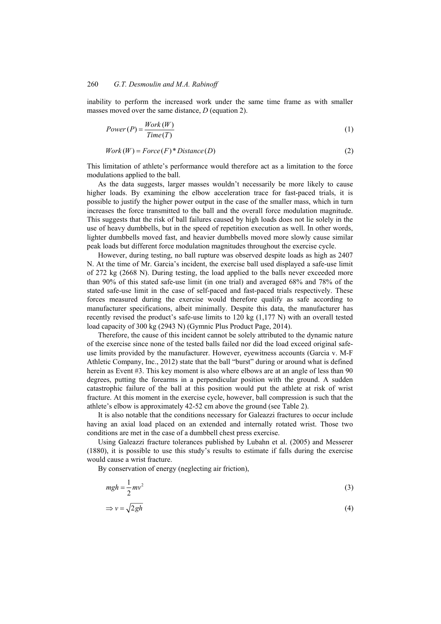inability to perform the increased work under the same time frame as with smaller masses moved over the same distance, *D* (equation 2).

$$
Power(P) = \frac{Work(W)}{Time(T)}
$$
\n(1)

$$
Work(W) = Force(F)*Distance(D)
$$
\n(2)

This limitation of athlete's performance would therefore act as a limitation to the force modulations applied to the ball.

As the data suggests, larger masses wouldn't necessarily be more likely to cause higher loads. By examining the elbow acceleration trace for fast-paced trials, it is possible to justify the higher power output in the case of the smaller mass, which in turn increases the force transmitted to the ball and the overall force modulation magnitude. This suggests that the risk of ball failures caused by high loads does not lie solely in the use of heavy dumbbells, but in the speed of repetition execution as well. In other words, lighter dumbbells moved fast, and heavier dumbbells moved more slowly cause similar peak loads but different force modulation magnitudes throughout the exercise cycle.

However, during testing, no ball rupture was observed despite loads as high as 2407 N. At the time of Mr. Garcia's incident, the exercise ball used displayed a safe-use limit of 272 kg (2668 N). During testing, the load applied to the balls never exceeded more than 90% of this stated safe-use limit (in one trial) and averaged 68% and 78% of the stated safe-use limit in the case of self-paced and fast-paced trials respectively. These forces measured during the exercise would therefore qualify as safe according to manufacturer specifications, albeit minimally. Despite this data, the manufacturer has recently revised the product's safe-use limits to 120 kg (1,177 N) with an overall tested load capacity of 300 kg (2943 N) (Gymnic Plus Product Page, 2014).

Therefore, the cause of this incident cannot be solely attributed to the dynamic nature of the exercise since none of the tested balls failed nor did the load exceed original safeuse limits provided by the manufacturer. However, eyewitness accounts (Garcia v. M-F Athletic Company, Inc., 2012) state that the ball "burst" during or around what is defined herein as Event #3. This key moment is also where elbows are at an angle of less than 90 degrees, putting the forearms in a perpendicular position with the ground. A sudden catastrophic failure of the ball at this position would put the athlete at risk of wrist fracture. At this moment in the exercise cycle, however, ball compression is such that the athlete's elbow is approximately 42-52 cm above the ground (see Table 2).

It is also notable that the conditions necessary for Galeazzi fractures to occur include having an axial load placed on an extended and internally rotated wrist. Those two conditions are met in the case of a dumbbell chest press exercise.

Using Galeazzi fracture tolerances published by Lubahn et al. (2005) and Messerer (1880), it is possible to use this study's results to estimate if falls during the exercise would cause a wrist fracture.

By conservation of energy (neglecting air friction),

$$
mgh = \frac{1}{2}mv^2\tag{3}
$$

$$
\Rightarrow v = \sqrt{2gh} \tag{4}
$$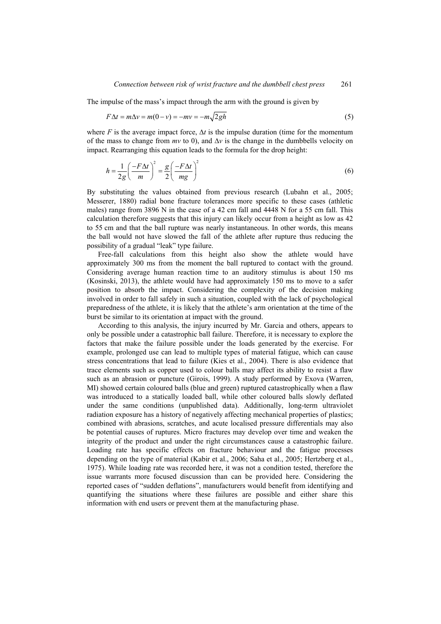The impulse of the mass's impact through the arm with the ground is given by

$$
F\Delta t = m\Delta v = m(0 - v) = -mv = -m\sqrt{2gh} \tag{5}
$$

where *F* is the average impact force,  $\Delta t$  is the impulse duration (time for the momentum of the mass to change from *mv* to 0), and ∆*v* is the change in the dumbbells velocity on impact. Rearranging this equation leads to the formula for the drop height:

$$
h = \frac{1}{2g} \left( \frac{-F \Delta t}{m} \right)^2 = \frac{g}{2} \left( \frac{-F \Delta t}{mg} \right)^2 \tag{6}
$$

By substituting the values obtained from previous research (Lubahn et al., 2005; Messerer, 1880) radial bone fracture tolerances more specific to these cases (athletic males) range from 3896 N in the case of a 42 cm fall and 4448 N for a 55 cm fall. This calculation therefore suggests that this injury can likely occur from a height as low as 42 to 55 cm and that the ball rupture was nearly instantaneous. In other words, this means the ball would not have slowed the fall of the athlete after rupture thus reducing the possibility of a gradual "leak" type failure.

Free-fall calculations from this height also show the athlete would have approximately 300 ms from the moment the ball ruptured to contact with the ground. Considering average human reaction time to an auditory stimulus is about 150 ms (Kosinski, 2013), the athlete would have had approximately 150 ms to move to a safer position to absorb the impact. Considering the complexity of the decision making involved in order to fall safely in such a situation, coupled with the lack of psychological preparedness of the athlete, it is likely that the athlete's arm orientation at the time of the burst be similar to its orientation at impact with the ground.

According to this analysis, the injury incurred by Mr. Garcia and others, appears to only be possible under a catastrophic ball failure. Therefore, it is necessary to explore the factors that make the failure possible under the loads generated by the exercise. For example, prolonged use can lead to multiple types of material fatigue, which can cause stress concentrations that lead to failure (Kies et al., 2004). There is also evidence that trace elements such as copper used to colour balls may affect its ability to resist a flaw such as an abrasion or puncture (Girois, 1999). A study performed by Exova (Warren, MI) showed certain coloured balls (blue and green) ruptured catastrophically when a flaw was introduced to a statically loaded ball, while other coloured balls slowly deflated under the same conditions (unpublished data). Additionally, long-term ultraviolet radiation exposure has a history of negatively affecting mechanical properties of plastics; combined with abrasions, scratches, and acute localised pressure differentials may also be potential causes of ruptures. Micro fractures may develop over time and weaken the integrity of the product and under the right circumstances cause a catastrophic failure. Loading rate has specific effects on fracture behaviour and the fatigue processes depending on the type of material (Kabir et al., 2006; Saha et al., 2005; Hertzberg et al., 1975). While loading rate was recorded here, it was not a condition tested, therefore the issue warrants more focused discussion than can be provided here. Considering the reported cases of "sudden deflations", manufacturers would benefit from identifying and quantifying the situations where these failures are possible and either share this information with end users or prevent them at the manufacturing phase.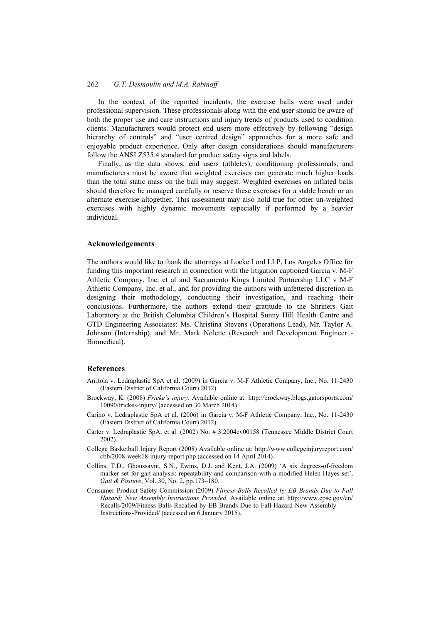In the context of the reported incidents, the exercise balls were used under professional supervision. These professionals along with the end user should be aware of both the proper use and care instructions and injury trends of products used to condition clients. Manufacturers would protect end users more effectively by following "design hierarchy of controls" and "user centred design" approaches for a more safe and enjoyable product experience. Only after design considerations should manufacturers follow the ANSI Z535.4 standard for product safety signs and labels.

Finally, as the data shows, end users (athletes), conditioning professionals, and manufacturers must be aware that weighted exercises can generate much higher loads than the total static mass on the ball may suggest. Weighted exercises on inflated balls should therefore be managed carefully or reserve these exercises for a stable bench or an alternate exercise altogether. This assessment may also hold true for other un-weighted exercises with highly dynamic movements especially if performed by a heavier individual.

#### **Acknowledgements**

The authors would like to thank the attorneys at Locke Lord LLP, Los Angeles Office for funding this important research in connection with the litigation captioned Garcia v. M-F Athletic Company, Inc. et al and Sacramento Kings Limited Partnership LLC v M-F Athletic Company, Inc. et al., and for providing the authors with unfettered discretion in designing their methodology, conducting their investigation, and reaching their conclusions. Furthermore, the authors extend their gratitude to the Shriners Gait Laboratory at the British Columbia Children's Hospital Sunny Hill Health Centre and GTD Engineering Associates: Ms. Christina Stevens (Operations Lead), Mr. Taylor A. Johnson (Internship), and Mr. Mark Nolette (Research and Development Engineer - Biomedical).

## **References**

- Arritola v. Ledraplastic SpA et al. (2009) in Garcia v. M-F Athletic Company, Inc., No. 11-2430 (Eastern District of California Court) 2012).
- Brockway, K. (2008) *Fricke's injury*. Available online at: http://brockway.blogs.gatorsports.com/ 10090/frickes-injury/ (accessed on 30 March 2014).
- Carino v. Ledraplastic SpA et al. (2006) in Garcia v. M-F Athletic Company, Inc., No. 11-2430 (Eastern District of California Court) 2012).
- Carter v. Ledraplastic SpA, et al. (2002) No. # 3:2004cv00158 (Tennessee Middle District Court 2002).
- College Basketball Injury Report (2008) Available online at: http://www.collegeinjuryreport.com/ cbb/2008-week18-injury-report.php (accessed on 14 April 2014).
- Collins, T.D., Ghoussayni, S.N., Ewins, D.J. and Kent, J.A. (2009) 'A six degrees-of-freedom marker set for gait analysis: repeatability and comparison with a modified Helen Hayes set', *Gait & Posture*, Vol. 30, No. 2, pp.173–180.
- Consumer Product Safety Commission (2009) *Fitness Balls Recalled by EB Brands Due to Fall Hazard; New Assembly Instructions Provided*. Available online at: http://www.cpsc.gov/en/ Recalls/2009/Fitness-Balls-Recalled-by-EB-Brands-Due-to-Fall-Hazard-New-Assembly-Instructions-Provided/ (accessed on 6 January 2015).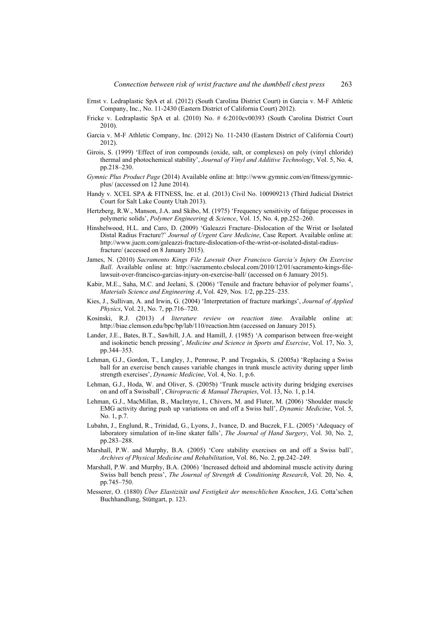- Ernst v. Ledraplastic SpA et al. (2012) (South Carolina District Court) in Garcia v. M-F Athletic Company, Inc., No. 11-2430 (Eastern District of California Court) 2012).
- Fricke v. Ledraplastic SpA et al. (2010) No. # 6:2010cv00393 (South Carolina District Court 2010).
- Garcia v. M-F Athletic Company, Inc. (2012) No. 11-2430 (Eastern District of California Court) 2012).
- Girois, S. (1999) 'Effect of iron compounds (oxide, salt, or complexes) on poly (vinyl chloride) thermal and photochemical stability', *Journal of Vinyl and Additive Technology*, Vol. 5, No. 4, pp.218–230.
- *Gymnic Plus Product Page* (2014) Available online at: http://www.gymnic.com/en/fitness/gymnicplus/ (accessed on 12 June 2014).
- Handy v. XCEL SPA & FITNESS, Inc. et al. (2013) Civil No. 100909213 (Third Judicial District Court for Salt Lake County Utah 2013).
- Hertzberg, R.W., Manson, J.A. and Skibo, M. (1975) 'Frequency sensitivity of fatigue processes in polymeric solids', *Polymer Engineering & Science*, Vol. 15, No. 4, pp.252–260.
- Hinshelwood, H.L. and Caro, D. (2009) 'Galeazzi Fracture–Dislocation of the Wrist or Isolated Distal Radius Fracture?' *Journal of Urgent Care Medicine*, Case Report. Available online at: http://www.jucm.com/galeazzi-fracture-dislocation-of-the-wrist-or-isolated-distal-radiusfracture/ (accessed on 8 January 2015).
- James, N. (2010) *Sacramento Kings File Lawsuit Over Francisco Garcia's Injury On Exercise Ball*. Available online at: http://sacramento.cbslocal.com/2010/12/01/sacramento-kings-filelawsuit-over-francisco-garcias-injury-on-exercise-ball/ (accessed on 6 January 2015).
- Kabir, M.E., Saha, M.C. and Jeelani, S. (2006) 'Tensile and fracture behavior of polymer foams', *Materials Science and Engineering A*, Vol. 429, Nos. 1/2, pp.225–235.
- Kies, J., Sullivan, A. and Irwin, G. (2004) 'Interpretation of fracture markings', *Journal of Applied Physics*, Vol. 21, No. 7, pp.716–720.
- Kosinski, R.J. (2013) *A literature review on reaction time.* Available online at: http://biae.clemson.edu/bpc/bp/lab/110/reaction.htm (accessed on January 2015).
- Lander, J.E., Bates, B.T., Sawhill, J.A. and Hamill, J. (1985) 'A comparison between free-weight and isokinetic bench pressing', *Medicine and Science in Sports and Exercise*, Vol. 17, No. 3, pp.344–353.
- Lehman, G.J., Gordon, T., Langley, J., Pemrose, P. and Tregaskis, S. (2005a) 'Replacing a Swiss ball for an exercise bench causes variable changes in trunk muscle activity during upper limb strength exercises', *Dynamic Medicine*, Vol. 4, No. 1, p.6.
- Lehman, G.J., Hoda, W. and Oliver, S. (2005b) 'Trunk muscle activity during bridging exercises on and off a Swissball', *Chiropractic & Manual Therapies*, Vol. 13, No. 1, p.14.
- Lehman, G.J., MacMillan, B., MacIntyre, I., Chivers, M. and Fluter, M. (2006) 'Shoulder muscle EMG activity during push up variations on and off a Swiss ball', *Dynamic Medicine*, Vol. 5, No. 1, p.7.
- Lubahn, J., Englund, R., Trinidad, G., Lyons, J., Ivance, D. and Buczek, F.L. (2005) 'Adequacy of laboratory simulation of in-line skater falls', *The Journal of Hand Surgery*, Vol. 30, No. 2, pp.283–288.
- Marshall, P.W. and Murphy, B.A. (2005) 'Core stability exercises on and off a Swiss ball', *Archives of Physical Medicine and Rehabilitation*, Vol. 86, No. 2, pp.242–249.
- Marshall, P.W. and Murphy, B.A. (2006) 'Increased deltoid and abdominal muscle activity during Swiss ball bench press', *The Journal of Strength & Conditioning Research*, Vol. 20, No. 4, pp.745–750.
- Messerer, O. (1880) *Über Elastizität und Festigkeit der menschlichen Knochen*, J.G. Cotta'schen Buchhandlung, Stüttgart, p. 123.